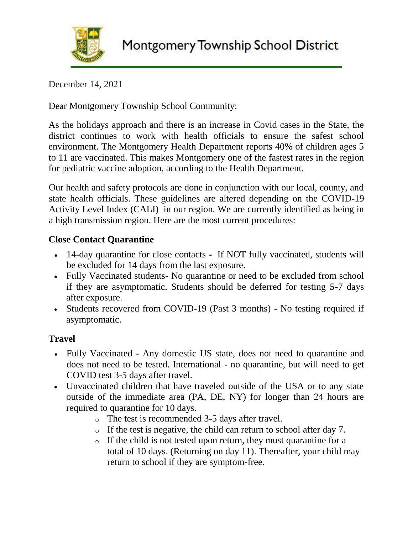

December 14, 2021

Dear Montgomery Township School Community:

As the holidays approach and there is an increase in Covid cases in the State, the district continues to work with health officials to ensure the safest school environment. The Montgomery Health Department reports 40% of children ages 5 to 11 are vaccinated. This makes Montgomery one of the fastest rates in the region for pediatric vaccine adoption, according to the Health Department.

Our health and safety protocols are done in conjunction with our local, county, and state health officials. These guidelines are altered depending on the COVID-19 Activity Level Index (CALI) in our region. We are currently identified as being in a high transmission region. Here are the most current procedures:

## **Close Contact Quarantine**

- 14-day quarantine for close contacts **-** If NOT fully vaccinated, students will be excluded for 14 days from the last exposure.
- Fully Vaccinated students- No quarantine or need to be excluded from school if they are asymptomatic. Students should be deferred for testing 5-7 days after exposure.
- Students recovered from COVID-19 (Past 3 months) No testing required if asymptomatic.

## **Travel**

- Fully Vaccinated Any domestic US state, does not need to quarantine and does not need to be tested. International - no quarantine, but will need to get COVID test 3-5 days after travel.
- Unvaccinated children that have traveled outside of the USA or to any state outside of the immediate area (PA, DE, NY) for longer than 24 hours are required to quarantine for 10 days.
	- o The test is recommended 3-5 days after travel.
	- o If the test is negative, the child can return to school after day 7.
	- o If the child is not tested upon return, they must quarantine for a total of 10 days. (Returning on day 11). Thereafter, your child may return to school if they are symptom-free.